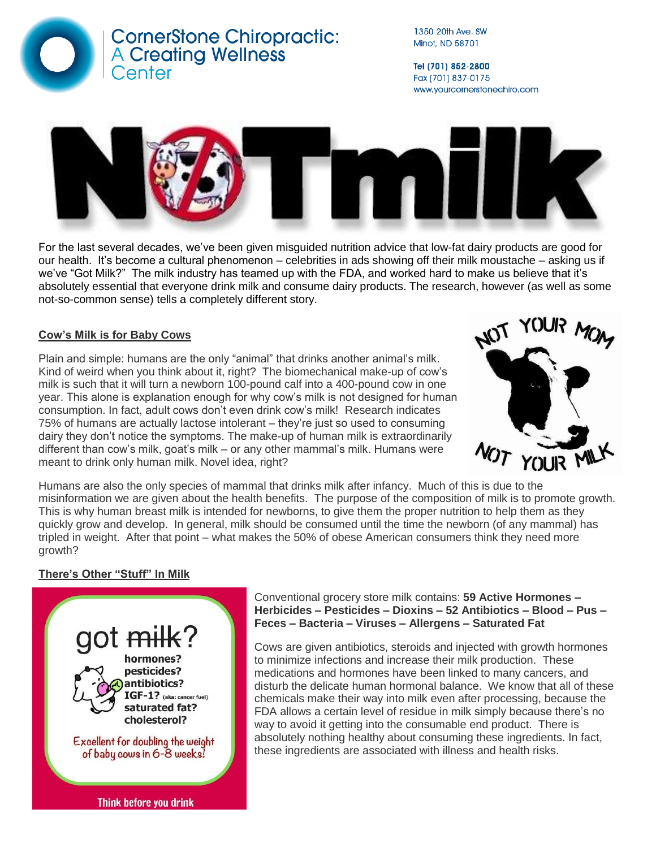

1350 20th Ave. SW Minot, ND 58701

Tel (701) 852-2800 Fax (701) 837-0175 www.yourcornerstonechiro.com



For the last several decades, we've been given misguided nutrition advice that low-fat dairy products are good for our health. It's become a cultural phenomenon – celebrities in ads showing off their milk moustache – asking us if we've "Got Milk?" The milk industry has teamed up with the FDA, and worked hard to make us believe that it's absolutely essential that everyone drink milk and consume dairy products. The research, however (as well as some not-so-common sense) tells a completely different story.

# **Cow's Milk is for Baby Cows**

Plain and simple: humans are the only "animal" that drinks another animal's milk. Kind of weird when you think about it, right? The biomechanical make-up of cow's milk is such that it will turn a newborn 100-pound calf into a 400-pound cow in one year. This alone is explanation enough for why cow's milk is not designed for human consumption. In fact, adult cows don't even drink cow's milk! Research indicates 75% of humans are actually lactose intolerant – they're just so used to consuming dairy they don't notice the symptoms. The make-up of human milk is extraordinarily different than cow's milk, goat's milk – or any other mammal's milk. Humans were meant to drink only human milk. Novel idea, right?



Humans are also the only species of mammal that drinks milk after infancy. Much of this is due to the misinformation we are given about the health benefits. The purpose of the composition of milk is to promote growth. This is why human breast milk is intended for newborns, to give them the proper nutrition to help them as they quickly grow and develop. In general, milk should be consumed until the time the newborn (of any mammal) has tripled in weight. After that point – what makes the 50% of obese American consumers think they need more growth?

# **There's Other "Stuff" In Milk**



Conventional grocery store milk contains: **59 Active Hormones – Herbicides – Pesticides – Dioxins – 52 Antibiotics – Blood – Pus – Feces – Bacteria – Viruses – Allergens – Saturated Fat**

Cows are given antibiotics, steroids and injected with growth hormones to minimize infections and increase their milk production. These medications and hormones have been linked to many cancers, and disturb the delicate human hormonal balance. We know that all of these chemicals make their way into milk even after processing, because the FDA allows a certain level of residue in milk simply because there's no way to avoid it getting into the consumable end product. There is absolutely nothing healthy about consuming these ingredients. In fact, these ingredients are associated with illness and health risks.